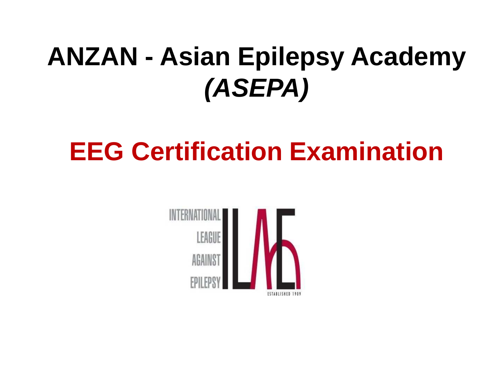## **ANZAN - Asian Epilepsy Academy (ASEPA)**

# **EEG Certification Examination**

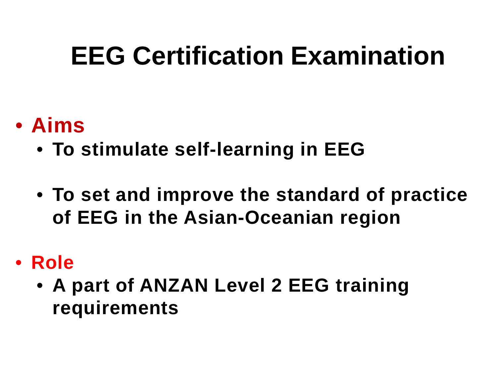# **EEG Certification Examination**

- **Aims**
	- **To stimulate self-learning in EEG**
	- **To set and improve the standard of practice of EEG in the Asian-Oceanian region**
- **Role**
	- **A part of ANZAN Level 2 EEG training requirements**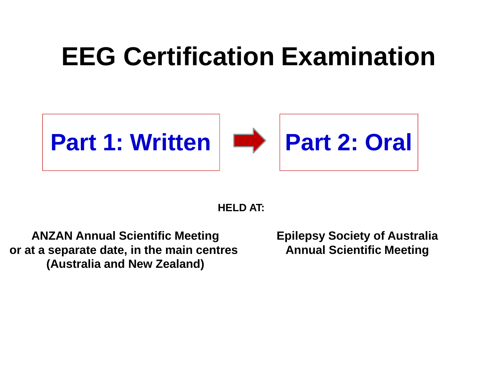# **EEG Certification Examination**



### **HELD AT:**

**ANZAN Annual Scientific Meeting or at a separate date, in the main centres (Australia and New Zealand)**

**Epilepsy Society of AustraliaAnnual Scientific Meeting**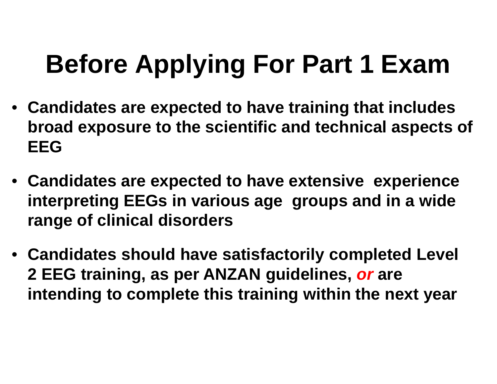# **Before Applying For Part 1 Exam**

- **Candidates are expected to have training that includes broad exposure to the scientific and technical aspects of EEG**
- **Candidates are expected to have extensive experience interpreting EEGs in various age groups and in a wide range of clinical disorders**
- **Candidates should have satisfactorily completed Level 2 EEG training, as per ANZAN guidelines, or are intending to complete this training within the next year**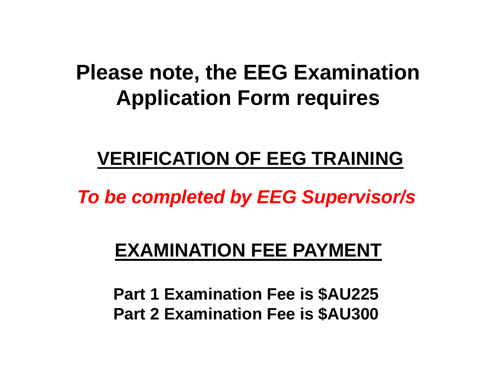## **Please note, the EEG Examination Application Form require s**

## **VERIFICATION OF EEG TRAINING**

**To be completed by EEG Supervisor/s**

### **EXAMINATION FEE PAYMENT**

**Part 1 Examination Fee is \$AU225Part 2 Examination Fee is \$AU300**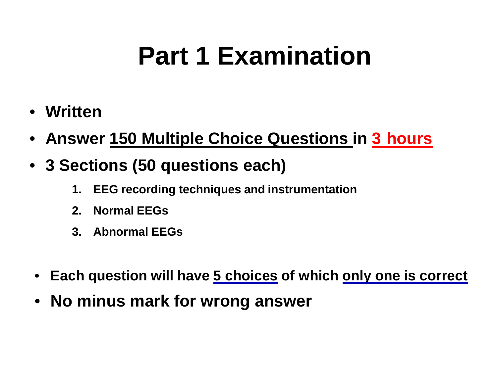# **Part 1 Examination**

- **Written**
- $\bullet$ **Answer 150 Multiple Choice Questions in 3 hours**
- **3 Sections (50 questions each)**
	- **1. EEG recording techniques and instrumentation**
	- **2. Normal EEGs**
	- **3. Abnormal EEGs**
- $\bullet$ **Each question will have 5 choices of which only one is correct**
- **No minus mark for wrong answer**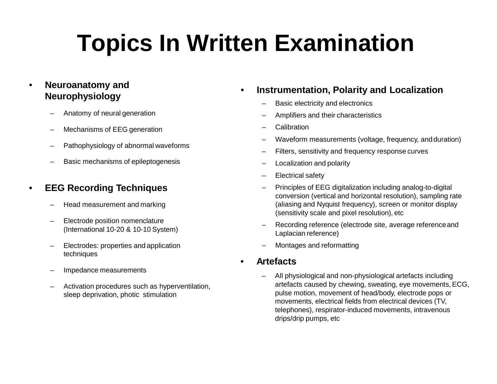# **Topics In Written Examination**

#### • **Neuroanatomy andNeurophysiology**

- –Anatomy of neural generation
- –Mechanisms of EEG generation
- –Pathophysiology of abnormal waveforms
- Basic mechanisms of epileptogenesis

#### •**EEG Recording Techniques**

- –Head measurement and marking
- – Electrode position nomenclature (International 10-20 & 10-10 System)
- – Electrodes: properties and application techniques
- –Impedance measurements
- – Activation procedures such as hyperventilation, sleep deprivation, photic stimulation

#### •**Instrumentation, Polarity and Localization**

- Basic electricity and electronics
- –Amplifiers and their characteristics
- –**Calibration**
- Waveform measurements (voltage, frequency, and duration)
- –Filters, sensitivity and frequency response curves
- –Localization and polarity
- –Electrical safety
- – Principles of EEG digitalization including analog-to-digital conversion (vertical and horizontal resolution), sampling rate (aliasing and Nyquist frequency), screen or monitor display (sensitivity scale and pixel resolution), etc
- – Recording reference (electrode site, average referenceand Laplacian reference)
- Montages and reformatting
- • **Artefacts**
	- – All physiological and non-physiological artefacts including artefacts caused by chewing, sweating, eye movements, ECG, pulse motion, movement of head/body, electrode pops or movements, electrical fields from electrical devices (TV, telephones), respirator-induced movements, intravenous drips/drip pumps, etc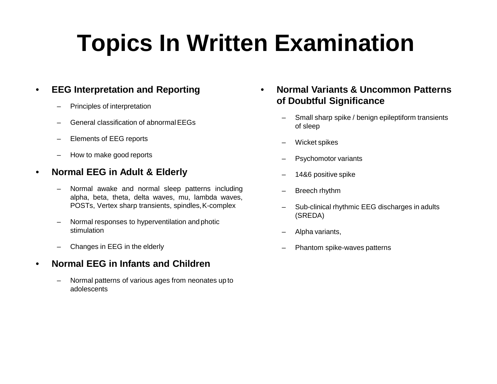# **Topics In Written Examination**

#### •**EEG Interpretation and Reporting**

- –Principles of interpretation
- General classification of abnormal EEGs
- –Elements of EEG reports
- –How to make good reports

#### •**Normal EEG in Adult & Elderly**

- Normal awake and normal sleep patterns including alpha, beta, theta, delta waves, mu, lambda waves, POSTs, Vertex sharp transients, spindles,K-complex
- – Normal responses to hyperventilation andphotic stimulation
- –Changes in EEG in the elderly

#### •**Normal EEG in Infants and Children**

– Normal patterns of various ages from neonates up to adolescents

- • **Normal Variants & Uncommon Patterns of Doubtful Significance**
	- Small sharp spike / benign epileptiform transients of sleep
	- Wicket spikes
	- Psychomotor variants
	- 14&6 positive spike
	- Breech rhythm
	- – Sub-clinical rhythmic EEG discharges in adults(SREDA)
	- –Alpha variants,
	- Phantom spike-waves patterns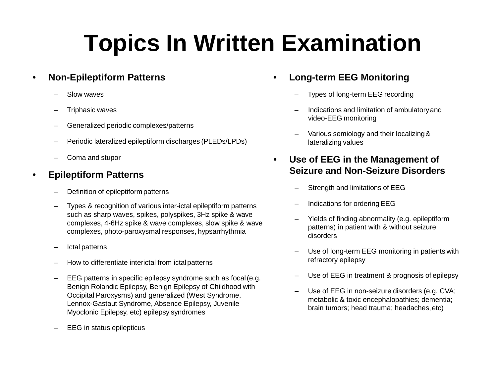# **Topics In Written Examination**

#### •**Non-Epileptiform Patterns**

- –Slow waves
- –Triphasic waves
- –Generalized periodic complexes/patterns
- –Periodic lateralized epileptiform discharges (PLEDs/LPDs)
- –Coma and stupor

#### •**Epileptiform Patterns**

- –Definition of epileptiform patterns
- – Types & recognition of various inter-ictal epileptiform patterns such as sharp waves, spikes, polyspikes, 3Hz spike & wave complexes, 4-6Hz spike & wave complexes, slow spike & wave complexes, photo-paroxysmal responses, hypsarrhythmia
- –Ictal patterns
- –How to differentiate interictal from ictal patterns
- – EEG patterns in specific epilepsy syndrome such as focal(e.g. Benign Rolandic Epilepsy, Benign Epilepsy of Childhood with Occipital Paroxysms) and generalized (West Syndrome, Lennox-Gastaut Syndrome, Absence Epilepsy, Juvenile Myoclonic Epilepsy, etc) epilepsy syndromes
- EEG in status epilepticus
- • **Long-term EEG Monitoring**
	- Types of long-term EEG recording
	- Indications and limitation of ambulatoryandvideo-EEG monitoring
	- Various semiology and their localizing& lateralizing values
- $\bullet$  **Use of EEG in the Management of Seizure and Non-Seizure Disorders**
	- Strength and limitations of EEG
	- Indications for ordering EEG
	- Yields of finding abnormality (e.g. epileptiform patterns) in patient with & without seizure disorders
	- – Use of long-term EEG monitoring in patients with refractory epilepsy
	- –Use of EEG in treatment & prognosis of epilepsy
	- – Use of EEG in non-seizure disorders (e.g. CVA; metabolic & toxic encephalopathies; dementia; brain tumors; head trauma; headaches,etc)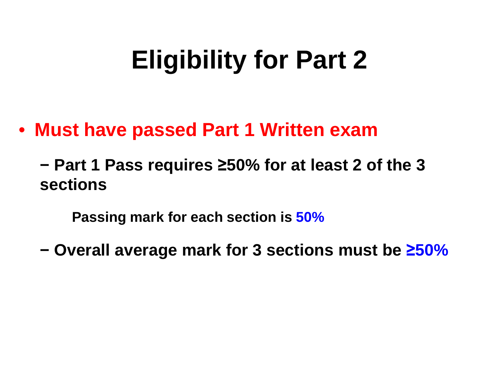## **Eligibility for Part 2**

#### $\bullet$ **Must have passed Part 1 Written exam**

**− Part 1 Pass requires ≥50% for at least 2 of the 3 sections**

**Passing mark for each section is 50%**

**− Overall average mark for 3 sections must be ≥50%**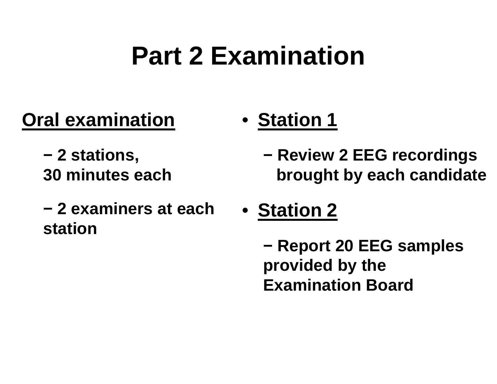# **Part 2 Examination**

### **Oral examination**

- **− 2 stations,30 minutes each**
- **− 2 examiners at each station**
- **Station 1**
	- **− Review 2 EEG recordings brought by each candidate**
- **Station 2**

**− Report 20 EEG samples provided by the Examination Board**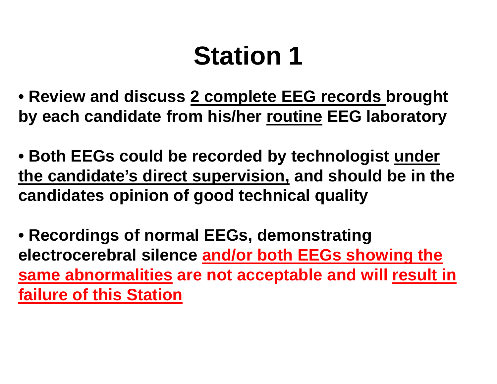# **Station 1**

**• Review and discuss 2 complete EEG records brought by each candidate from his/her routine EEG laboratory**

**• Both EEGs could be recorded by technologist underthe candidate's direct supervision, and should be in the candidates opinion of good technical quality**

**• Recordings of normal EEGs, demonstrating electrocerebral silence and/or both EEGs showing the same abnormalities are not acceptable and will result infailure of this Station**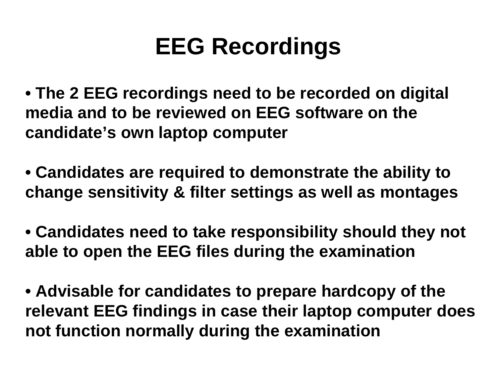## **EEG Recordings**

- **• The 2 EEG recordings need to be recorded on digital media and to be reviewed on EEG software on the candidate's own laptop computer**
- **• Candidates are required to demonstrate the ability to change sensitivity & filter settings as well as montages**
- **• Candidates need to take responsibility should they not able to open the EEG files during the examination**
- **• Advisable for candidates to prepare hardcopy of the relevant EEG findings in case their laptop computer does not function normally during the examination**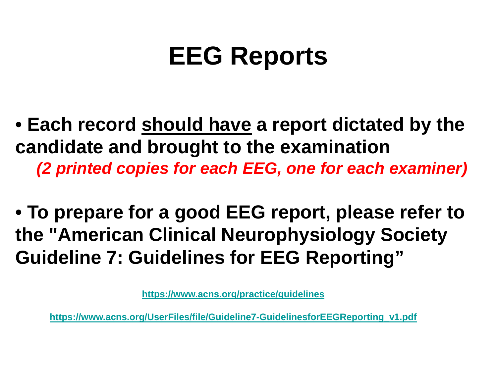# **EEG Reports**

- **• Each record should have a report dictated by the candidate and brought to the examination(2 printed copies for each EEG, one for each examiner)**
- **To prepare for a good EEG report, please refer tothe "American Clinical Neurophysiology Society Guideline 7: Guidelines for EEG Reporting"**

**https://www.acns.org/practice/guidelines**

**https://www.acns.org/UserFiles/file/Guideline7-GuidelinesforEEGReporting\_v1.pdf**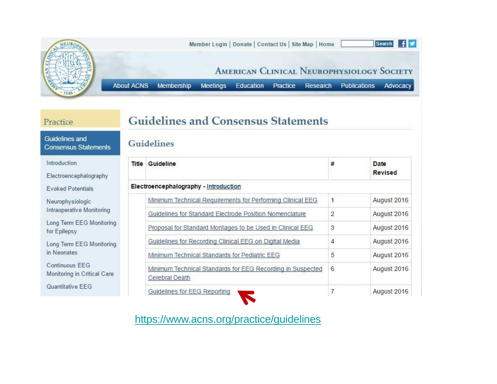

#### Practice

### **Guidelines and Consensus Statements**

#### Guidelines and **Consensus Statements**

Guidelines

Introduction

Electroencephalography

**Evoked Potentials** 

Neurophysiologic Intraoperative Monitoring

Long Term EEG Monitoring for Epilepsy

Long Term EEG Monitoring in Neonates

Continuous EEG Monitoring in Critical Care

Quantitative EEG

| Title | Guideline                                                                    | # | Date<br>Revised |
|-------|------------------------------------------------------------------------------|---|-----------------|
|       | Electroencephalography - Introduction                                        |   |                 |
|       | Minimum Technical Requirements for Performing Clinical EEG                   | 1 | August 2016     |
|       | Guidelines for Standard Electrode Position Nomenclature                      | 2 | August 2016     |
|       | Proposal for Standard Montages to be Used in Clinical EEG                    | 3 | August 2016     |
|       | Guidelines for Recording Clinical EEG on Digital Media                       | 4 | August 2016     |
|       | Minimum Technical Standards for Pediatric EEG                                | 5 | August 2016     |
|       | Minimum Technical Standards for EEG Recording in Suspected<br>Cerebral Death | 6 | August 2016     |
|       | Guidelines for EEG Reporting                                                 |   | August 2016     |

https://www.acns.org/practice/guidelines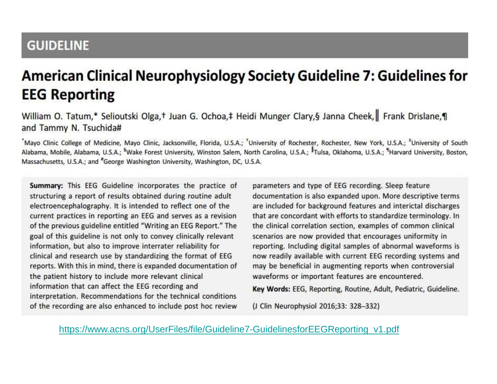### **GUIDELINE**

### **American Clinical Neurophysiology Society Guideline 7: Guidelines for EEG Reporting**

#### William O. Tatum,\* Selioutski Olga,† Juan G. Ochoa,‡ Heidi Munger Clary,§ Janna Cheek, Frank Drislane,¶ and Tammy N. Tsuchida#

Mayo Clinic College of Medicine, Mayo Clinic, Jacksonville, Florida, U.S.A.; University of Rochester, Rochester, New York, U.S.A.; <sup>‡</sup>University of South Alabama, Mobile, Alabama, U.S.A.; <sup>§</sup>Wake Forest University, Winston Salem, North Carolina, U.S.A.; <sup>I</sup>Tulsa, Oklahoma, U.S.A.; <sup>9</sup>Harvard University, Boston, Massachusetts, U.S.A.; and "George Washington University, Washington, DC, U.S.A.

Summary: This EEG Guideline incorporates the practice of structuring a report of results obtained during routine adult electroencephalography. It is intended to reflect one of the current practices in reporting an EEG and serves as a revision of the previous guideline entitled "Writing an EEG Report." The goal of this guideline is not only to convey clinically relevant information, but also to improve interrater reliability for clinical and research use by standardizing the format of EEG reports. With this in mind, there is expanded documentation of the patient history to include more relevant clinical information that can affect the EEG recording and interpretation. Recommendations for the technical conditions of the recording are also enhanced to include post hoc review

parameters and type of EEG recording. Sleep feature documentation is also expanded upon. More descriptive terms are included for background features and interictal discharges that are concordant with efforts to standardize terminology. In the clinical correlation section, examples of common clinical scenarios are now provided that encourages uniformity in reporting. Including digital samples of abnormal waveforms is now readily available with current EEG recording systems and may be beneficial in augmenting reports when controversial waveforms or important features are encountered.

Key Words: EEG, Reporting, Routine, Adult, Pediatric, Guideline.

(J Clin Neurophysiol 2016;33: 328-332)

https://www.acns.org/UserFiles/file/Guideline7-GuidelinesforEEGReporting\_v1.pdf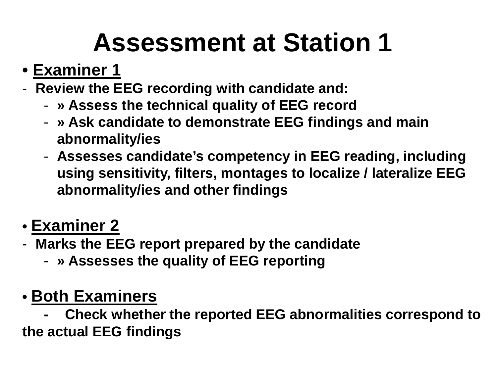## **Assessment at Station1**

- **Examiner 1**
- Raviaw tha **Review the EEG recording with candidate and:**
	- -**» Assess the technical quality of EEG record**
	- » Ask candidate to demonstrate FFG tinding **» Ask candidate to demonstrate EEG findings and main abnormality/ies**
	- Accaccac rand **Assesses candidate's competency in EEG reading, including using sensitivity, filters, montages to localize / lateralize EEG abnormality/ies and other findings**
- **Examiner 2**
- Marke tha F **Marks the EEG report prepared by the candidate**
	- -**» Assesses the quality of EEG reporting**

### **• Both Examiners**

  **Check whether the reported EEG abnormalities correspond to the actual EEG findings**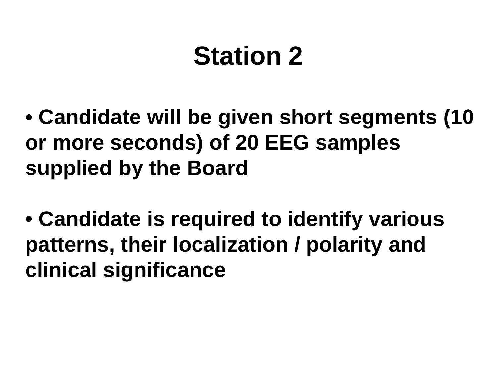# **Station <sup>2</sup>**

- **• Candidate will be given short segments (10 or more seconds) of 20 EEG samples supplied by the Board**
- **Candidate is required to identify various patterns, their localization / polarity and clinical significance**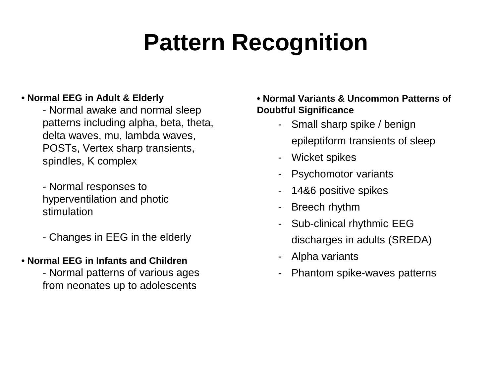## **Pattern Recognition**

#### **• Normal EEG in Adult & Elderly**

 - Normal awake and normal sleep patterns including alpha, beta, theta, delta waves, mu, lambda waves, POSTs, Vertex sharp transients, spindles, K complex

- Normal responses to hyperventilation and photic stimulation

- Changes in EEG in the elderly

#### **• Normal EEG in Infants and Children**

 - Normal patterns of various ages from neonates up to adolescents

#### **• Normal Variants & Uncommon Patterns of Doubtful Significance**

- Small sharp spike / benign epileptiform transients of sleep
- -Wicket spikes
- -Psychomotor variants
- -14&6 positive spikes
- -Breech rhythm
- Sub-clinical rhythmic EEG discharges in adults (SREDA)
- Alpha variants
- -Phantom spike-waves patterns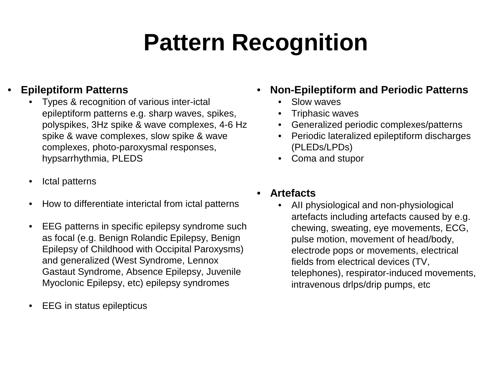## **Pattern Recognition**

#### •**Epileptiform Patterns**

- Types & recognition of various inter-ictal •epileptiform patterns e.g. sharp waves, spikes, polyspikes, 3Hz spike & wave complexes, 4-6 Hz spike & wave complexes, slow spike & wave complexes, photo-paroxysmal responses, hypsarrhythmia, PLEDS
- •Ictal patterns
- $\bullet$ How to differentiate interictal from ictal patterns
- • EEG patterns in specific epilepsy syndrome such as focal (e.g. Benign Rolandic Epilepsy, Benign Epilepsy of Childhood with Occipital Paroxysms) and generalized (West Syndrome, Lennox Gastaut Syndrome, Absence Epilepsy, Juvenile Myoclonic Epilepsy, etc) epilepsy syndromes
- •EEG in status epilepticus
- • **Non-Epileptiform and Periodic Patterns**
	- •Slow waves
	- Triphasic waves•
	- Generalized periodic complexes/patterns•
	- Periodic lateralized epileptiform discharges •(PLEDs/LPDs)
	- Coma and stupor
- • **Artefacts**
	- AII physiological and non-physiological •artefacts including artefacts caused by e.g. chewing, sweating, eye movements, ECG, pulse motion, movement of head/body, electrode pops or movements, electrical fields from electrical devices (TV, telephones), respirator-induced movements, intravenous drlps/drip pumps, etc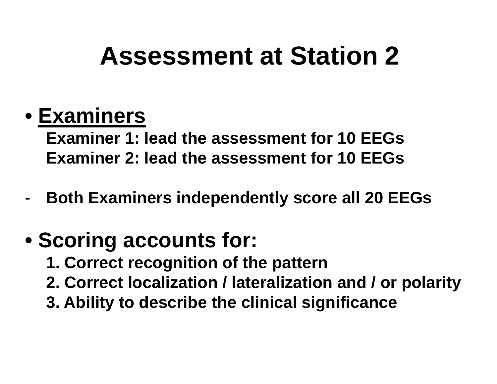## **Assessment at Station2**

### **• Examiners**

 **Examiner 1: lead the assessment for 10 EEGsExaminer 2: lead the assessment for 10 EEGs**

-**Both Examiners independently score all 20 EEGs**

### **• Scoring accounts for:**

- **1. Correct recognition of the pattern**
- **2. Correct localization / lateralization and / or polarity**
- **3. Ability to describe the clinical significance**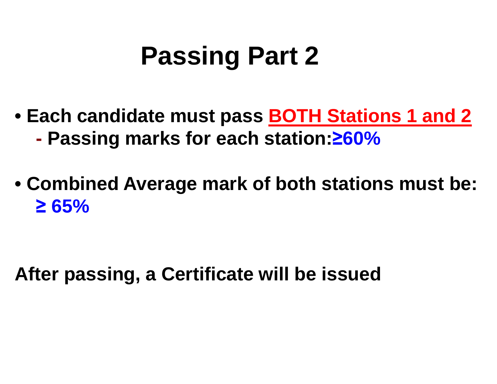## **Passing Part 2**

- **Each candidate must pass BOTH Stations 1 and 2-Passing marks for each station:≥60%**
- **Combined Average mark of both stations must be: ≥ 65%**

**After passing, a Certificate will be issued**